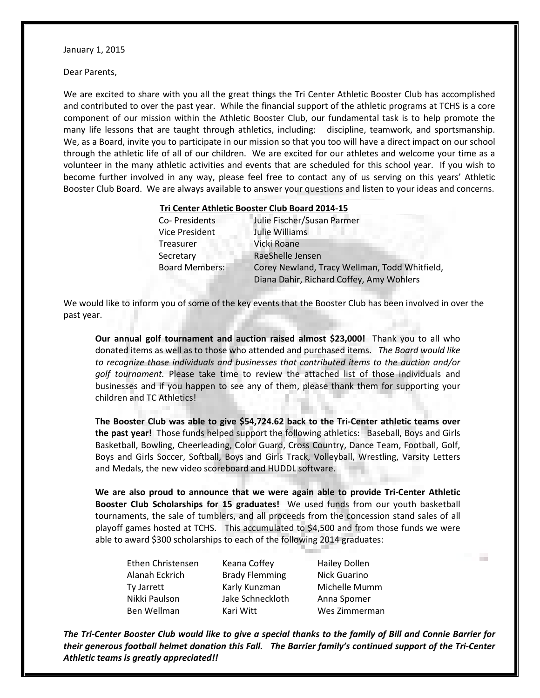January 1, 2015

Dear Parents,

We are excited to share with you all the great things the Tri Center Athletic Booster Club has accomplished and contributed to over the past year. While the financial support of the athletic programs at TCHS is a core component of our mission within the Athletic Booster Club, our fundamental task is to help promote the many life lessons that are taught through athletics, including: discipline, teamwork, and sportsmanship. We, as a Board, invite you to participate in our mission so that you too will have a direct impact on our school through the athletic life of all of our children. We are excited for our athletes and welcome your time as a volunteer in the many athletic activities and events that are scheduled for this school year. If you wish to become further involved in any way, please feel free to contact any of us serving on this years' Athletic Booster Club Board. We are always available to answer your questions and listen to your ideas and concerns.

## **Tri Center Athletic Booster Club Board 2014-15**

| Co- Presidents        | Julie Fischer/Susan Parmer                    |  |
|-----------------------|-----------------------------------------------|--|
| <b>Vice President</b> | Julie Williams                                |  |
| Treasurer             | Vicki Roane                                   |  |
| Secretary             | RaeShelle Jensen                              |  |
| <b>Board Members:</b> | Corey Newland, Tracy Wellman, Todd Whitfield, |  |
|                       | Diana Dahir, Richard Coffey, Amy Wohlers      |  |

We would like to inform you of some of the key events that the Booster Club has been involved in over the past year.

**Our annual golf tournament and auction raised almost \$23,000!** Thank you to all who donated items as well as to those who attended and purchased items. *The Board would like to recognize those individuals and businesses that contributed items to the auction and/or golf tournament.* Please take time to review the attached list of those individuals and businesses and if you happen to see any of them, please thank them for supporting your children and TC Athletics!

**The Booster Club was able to give \$54,724.62 back to the Tri-Center athletic teams over the past year!** Those funds helped support the following athletics: Baseball, Boys and Girls Basketball, Bowling, Cheerleading, Color Guard, Cross Country, Dance Team, Football, Golf, Boys and Girls Soccer, Softball, Boys and Girls Track, Volleyball, Wrestling, Varsity Letters and Medals, the new video scoreboard and HUDDL software.

**We are also proud to announce that we were again able to provide Tri-Center Athletic Booster Club Scholarships for 15 graduates!** We used funds from our youth basketball tournaments, the sale of tumblers, and all proceeds from the concession stand sales of all playoff games hosted at TCHS. This accumulated to \$4,500 and from those funds we were able to award \$300 scholarships to each of the following 2014 graduates:

| Ethen Christensen | Keana Coffey          | <b>Hailey Dollen</b> |
|-------------------|-----------------------|----------------------|
| Alanah Eckrich    | <b>Brady Flemming</b> | Nick Guarino         |
| Ty Jarrett        | Karly Kunzman         | Michelle Mumm        |
| Nikki Paulson     | Jake Schneckloth      | Anna Spomer          |
| Ben Wellman       | Kari Witt             | Wes Zimmerman        |

*The Tri-Center Booster Club would like to give a special thanks to the family of Bill and Connie Barrier for their generous football helmet donation this Fall. The Barrier family's continued support of the Tri-Center Athletic teams is greatly appreciated!!*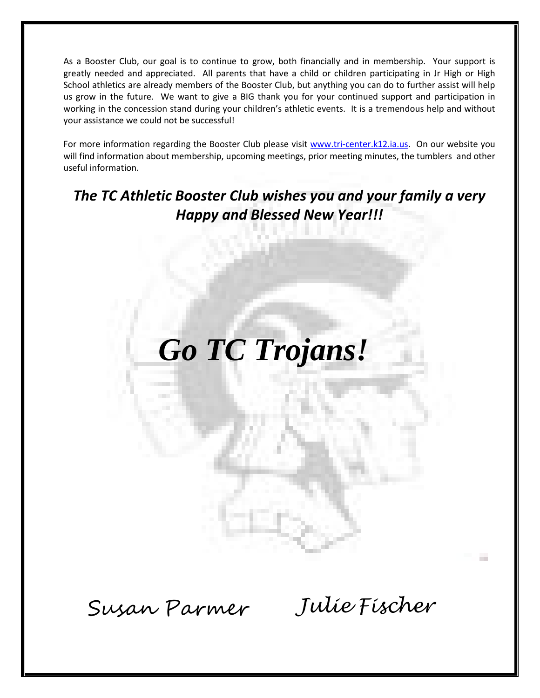As a Booster Club, our goal is to continue to grow, both financially and in membership. Your support is greatly needed and appreciated. All parents that have a child or children participating in Jr High or High School athletics are already members of the Booster Club, but anything you can do to further assist will help us grow in the future. We want to give a BIG thank you for your continued support and participation in working in the concession stand during your children's athletic events. It is a tremendous help and without your assistance we could not be successful!

For more information regarding the Booster Club please visit [www.tri-center.k12.ia.us.](http://www.tri-center.k12.ia.us/) On our website you will find information about membership, upcoming meetings, prior meeting minutes, the tumblers and other useful information.

## *The TC Athletic Booster Club wishes you and your family a very Happy and Blessed New Year!!!*

## *Go TC Trojans!*

Susan Parmer *Julie Fischer*